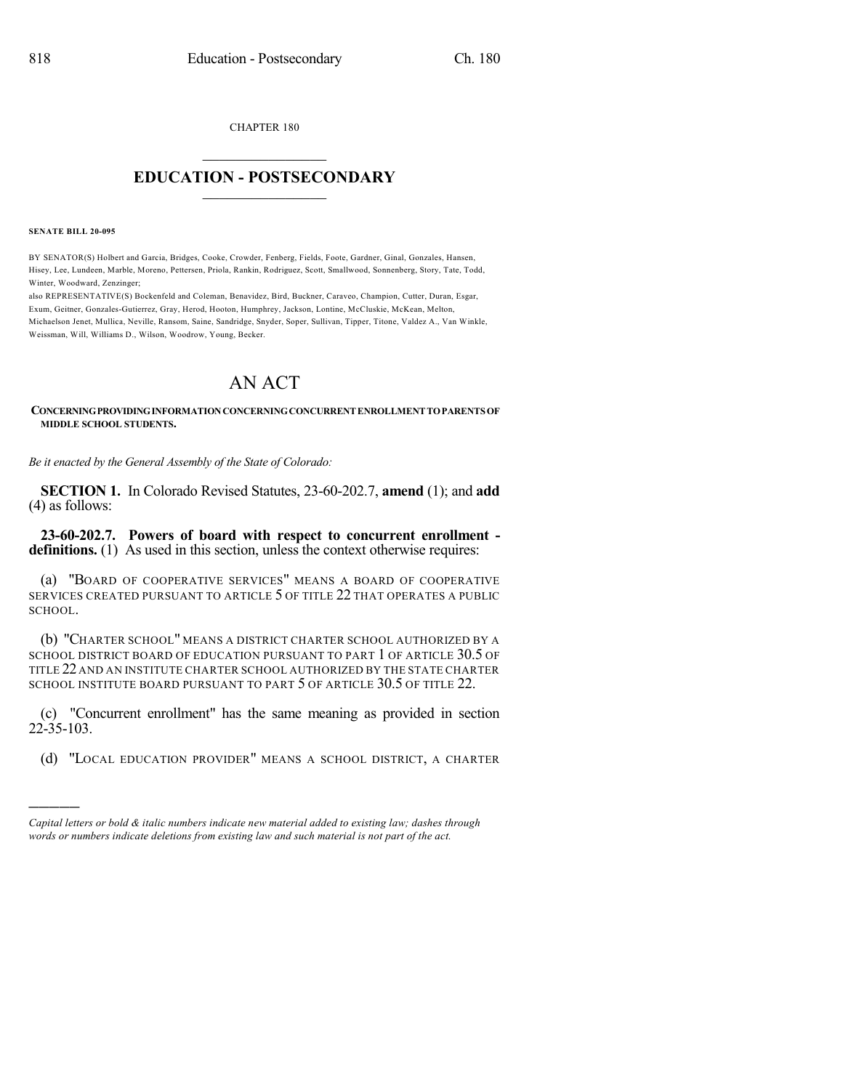CHAPTER 180

## $\mathcal{L}_\text{max}$  . The set of the set of the set of the set of the set of the set of the set of the set of the set of the set of the set of the set of the set of the set of the set of the set of the set of the set of the set **EDUCATION - POSTSECONDARY**  $\_$   $\_$   $\_$   $\_$   $\_$   $\_$   $\_$   $\_$   $\_$

## **SENATE BILL 20-095**

)))))

BY SENATOR(S) Holbert and Garcia, Bridges, Cooke, Crowder, Fenberg, Fields, Foote, Gardner, Ginal, Gonzales, Hansen, Hisey, Lee, Lundeen, Marble, Moreno, Pettersen, Priola, Rankin, Rodriguez, Scott, Smallwood, Sonnenberg, Story, Tate, Todd, Winter, Woodward, Zenzinger;

also REPRESENTATIVE(S) Bockenfeld and Coleman, Benavidez, Bird, Buckner, Caraveo, Champion, Cutter, Duran, Esgar, Exum, Geitner, Gonzales-Gutierrez, Gray, Herod, Hooton, Humphrey, Jackson, Lontine, McCluskie, McKean, Melton, Michaelson Jenet, Mullica, Neville, Ransom, Saine, Sandridge, Snyder, Soper, Sullivan, Tipper, Titone, Valdez A., Van Winkle, Weissman, Will, Williams D., Wilson, Woodrow, Young, Becker.

## AN ACT

## **CONCERNINGPROVIDINGINFORMATIONCONCERNINGCONCURRENTENROLLMENTTOPARENTS OF MIDDLE SCHOOL STUDENTS.**

*Be it enacted by the General Assembly of the State of Colorado:*

**SECTION 1.** In Colorado Revised Statutes, 23-60-202.7, **amend** (1); and **add** (4) as follows:

**23-60-202.7. Powers of board with respect to concurrent enrollment definitions.** (1) As used in this section, unless the context otherwise requires:

(a) "BOARD OF COOPERATIVE SERVICES" MEANS A BOARD OF COOPERATIVE SERVICES CREATED PURSUANT TO ARTICLE 5 OF TITLE 22 THAT OPERATES A PUBLIC SCHOOL.

(b) "CHARTER SCHOOL" MEANS A DISTRICT CHARTER SCHOOL AUTHORIZED BY A SCHOOL DISTRICT BOARD OF EDUCATION PURSUANT TO PART 1 OF ARTICLE 30.5 OF TITLE 22 AND AN INSTITUTE CHARTER SCHOOL AUTHORIZED BY THE STATE CHARTER SCHOOL INSTITUTE BOARD PURSUANT TO PART 5 OF ARTICLE 30.5 OF TITLE 22.

(c) "Concurrent enrollment" has the same meaning as provided in section 22-35-103.

(d) "LOCAL EDUCATION PROVIDER" MEANS A SCHOOL DISTRICT, A CHARTER

*Capital letters or bold & italic numbers indicate new material added to existing law; dashes through words or numbers indicate deletions from existing law and such material is not part of the act.*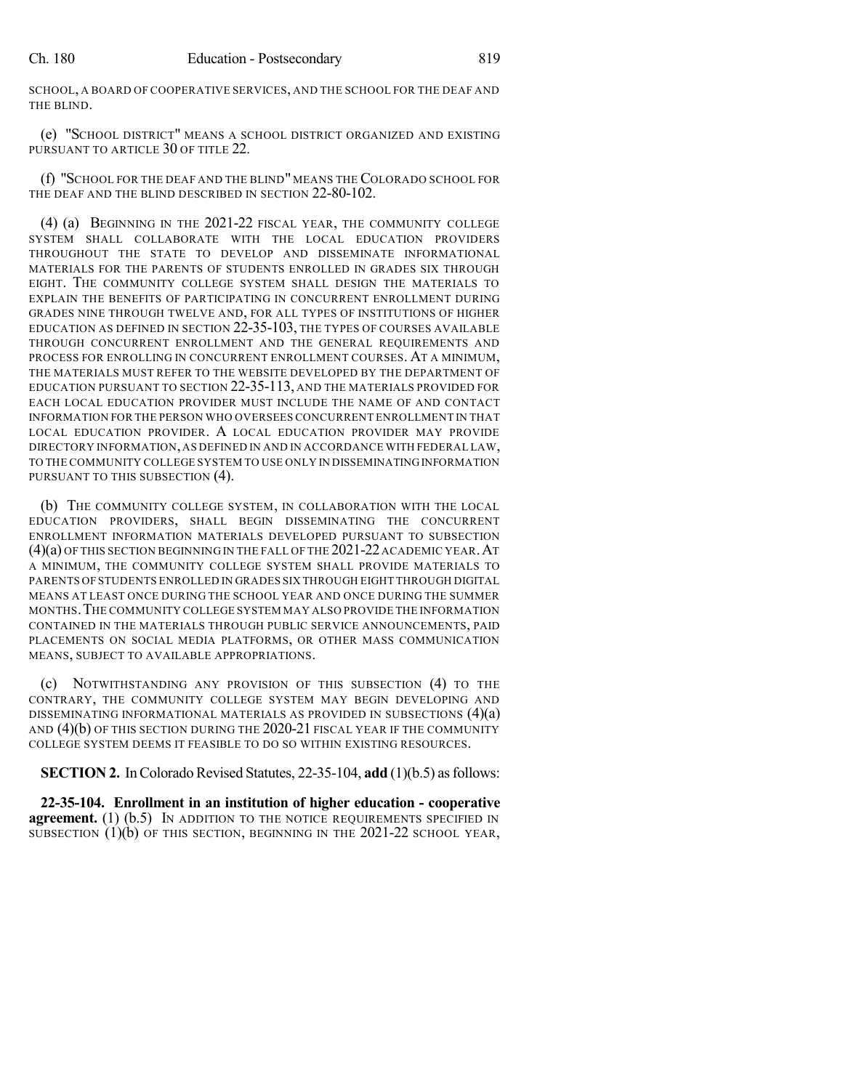SCHOOL, A BOARD OF COOPERATIVE SERVICES, AND THE SCHOOL FOR THE DEAF AND THE BLIND.

(e) "SCHOOL DISTRICT" MEANS A SCHOOL DISTRICT ORGANIZED AND EXISTING PURSUANT TO ARTICLE 30 OF TITLE 22.

(f) "SCHOOL FOR THE DEAF AND THE BLIND" MEANS THE COLORADO SCHOOL FOR THE DEAF AND THE BLIND DESCRIBED IN SECTION 22-80-102.

(4) (a) BEGINNING IN THE 2021-22 FISCAL YEAR, THE COMMUNITY COLLEGE SYSTEM SHALL COLLABORATE WITH THE LOCAL EDUCATION PROVIDERS THROUGHOUT THE STATE TO DEVELOP AND DISSEMINATE INFORMATIONAL MATERIALS FOR THE PARENTS OF STUDENTS ENROLLED IN GRADES SIX THROUGH EIGHT. THE COMMUNITY COLLEGE SYSTEM SHALL DESIGN THE MATERIALS TO EXPLAIN THE BENEFITS OF PARTICIPATING IN CONCURRENT ENROLLMENT DURING GRADES NINE THROUGH TWELVE AND, FOR ALL TYPES OF INSTITUTIONS OF HIGHER EDUCATION AS DEFINED IN SECTION 22-35-103, THE TYPES OF COURSES AVAILABLE THROUGH CONCURRENT ENROLLMENT AND THE GENERAL REQUIREMENTS AND PROCESS FOR ENROLLING IN CONCURRENT ENROLLMENT COURSES. AT A MINIMUM, THE MATERIALS MUST REFER TO THE WEBSITE DEVELOPED BY THE DEPARTMENT OF EDUCATION PURSUANT TO SECTION 22-35-113, AND THE MATERIALS PROVIDED FOR EACH LOCAL EDUCATION PROVIDER MUST INCLUDE THE NAME OF AND CONTACT INFORMATION FOR THE PERSON WHO OVERSEES CONCURRENT ENROLLMENT IN THAT LOCAL EDUCATION PROVIDER. A LOCAL EDUCATION PROVIDER MAY PROVIDE DIRECTORY INFORMATION,AS DEFINED IN AND IN ACCORDANCE WITH FEDERAL LAW, TO THE COMMUNITY COLLEGE SYSTEM TO USE ONLY IN DISSEMINATINGINFORMATION PURSUANT TO THIS SUBSECTION (4).

(b) THE COMMUNITY COLLEGE SYSTEM, IN COLLABORATION WITH THE LOCAL EDUCATION PROVIDERS, SHALL BEGIN DISSEMINATING THE CONCURRENT ENROLLMENT INFORMATION MATERIALS DEVELOPED PURSUANT TO SUBSECTION (4)(a) OF THIS SECTION BEGINNING IN THE FALL OF THE 2021-22ACADEMIC YEAR.AT A MINIMUM, THE COMMUNITY COLLEGE SYSTEM SHALL PROVIDE MATERIALS TO PARENTS OF STUDENTS ENROLLED IN GRADES SIX THROUGH EIGHT THROUGH DIGITAL MEANS AT LEAST ONCE DURING THE SCHOOL YEAR AND ONCE DURING THE SUMMER MONTHS.THE COMMUNITY COLLEGE SYSTEM MAY ALSO PROVIDE THE INFORMATION CONTAINED IN THE MATERIALS THROUGH PUBLIC SERVICE ANNOUNCEMENTS, PAID PLACEMENTS ON SOCIAL MEDIA PLATFORMS, OR OTHER MASS COMMUNICATION MEANS, SUBJECT TO AVAILABLE APPROPRIATIONS.

(c) NOTWITHSTANDING ANY PROVISION OF THIS SUBSECTION (4) TO THE CONTRARY, THE COMMUNITY COLLEGE SYSTEM MAY BEGIN DEVELOPING AND DISSEMINATING INFORMATIONAL MATERIALS AS PROVIDED IN SUBSECTIONS (4)(a) AND (4)(b) OF THIS SECTION DURING THE 2020-21 FISCAL YEAR IF THE COMMUNITY COLLEGE SYSTEM DEEMS IT FEASIBLE TO DO SO WITHIN EXISTING RESOURCES.

**SECTION 2.** In Colorado Revised Statutes,  $22-35-104$ , **add** (1)(b.5) as follows:

**22-35-104. Enrollment in an institution of higher education - cooperative agreement.** (1) (b.5) IN ADDITION TO THE NOTICE REQUIREMENTS SPECIFIED IN SUBSECTION (1)(b) OF THIS SECTION, BEGINNING IN THE 2021-22 SCHOOL YEAR,